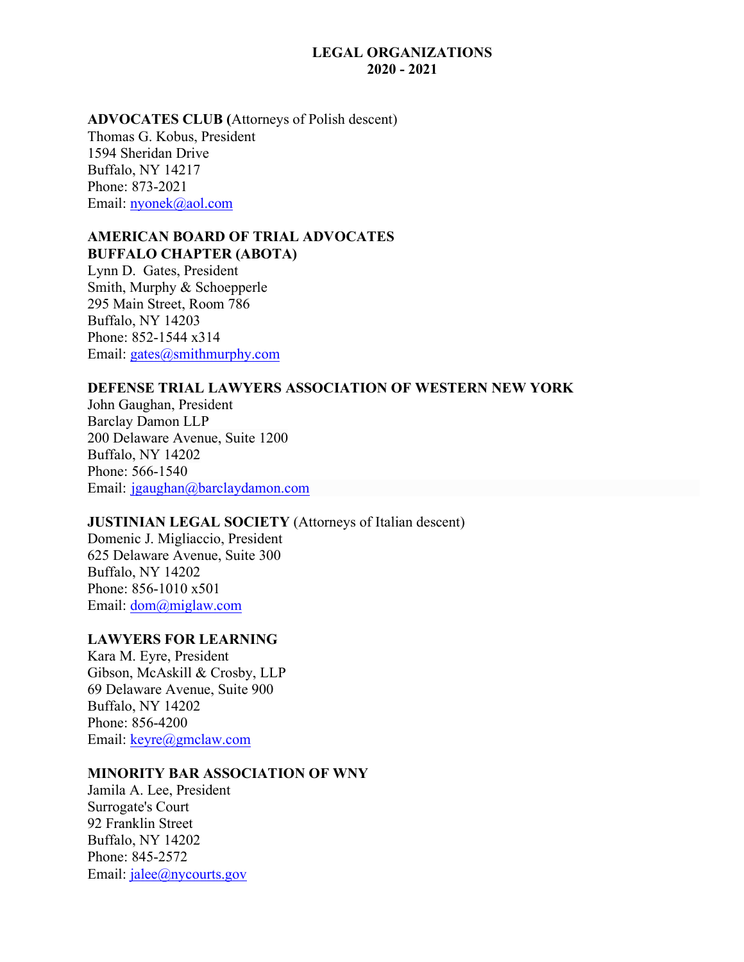#### **LEGAL ORGANIZATIONS 2020 - 2021**

### **ADVOCATES CLUB (**Attorneys of Polish descent) Thomas G. Kobus, President 1594 Sheridan Drive Buffalo, NY 14217 Phone: 873-2021 Email: [nyonek@aol.com](mailto:nyonek@aol.com)

### **AMERICAN BOARD OF TRIAL ADVOCATES BUFFALO CHAPTER (ABOTA)**

Lynn D. Gates, President Smith, Murphy & Schoepperle 295 Main Street, Room 786 Buffalo, NY 14203 Phone: 852-1544 x314 Email: [gates@smithmurphy.com](mailto:gates@smithmurphy.com)

# **DEFENSE TRIAL LAWYERS ASSOCIATION OF WESTERN NEW YORK**

John Gaughan, President Barclay Damon LLP 200 Delaware Avenue, Suite 1200 Buffalo, NY 14202 Phone: 566-1540 Email: [jgaughan@barclaydamon.com](mailto:jgaughan@barclaydamon.com)

# **JUSTINIAN LEGAL SOCIETY** (Attorneys of Italian descent)

Domenic J. Migliaccio, President 625 Delaware Avenue, Suite 300 Buffalo, NY 14202 Phone: 856-1010 x501 Email: [dom@miglaw.com](mailto:dom@miglaw.com)

#### **LAWYERS FOR LEARNING**

Kara M. Eyre, President Gibson, McAskill & Crosby, LLP 69 Delaware Avenue, Suite 900 Buffalo, NY 14202 Phone: 856-4200 Email: [keyre@gmclaw.com](mailto:keyre@gmclaw.com)

#### **MINORITY BAR ASSOCIATION OF WNY**

Jamila A. Lee, President Surrogate's Court 92 Franklin Street Buffalo, NY 14202 Phone: 845-2572 Email: [jalee@nycourts.gov](mailto:jalee@nycourts.gov)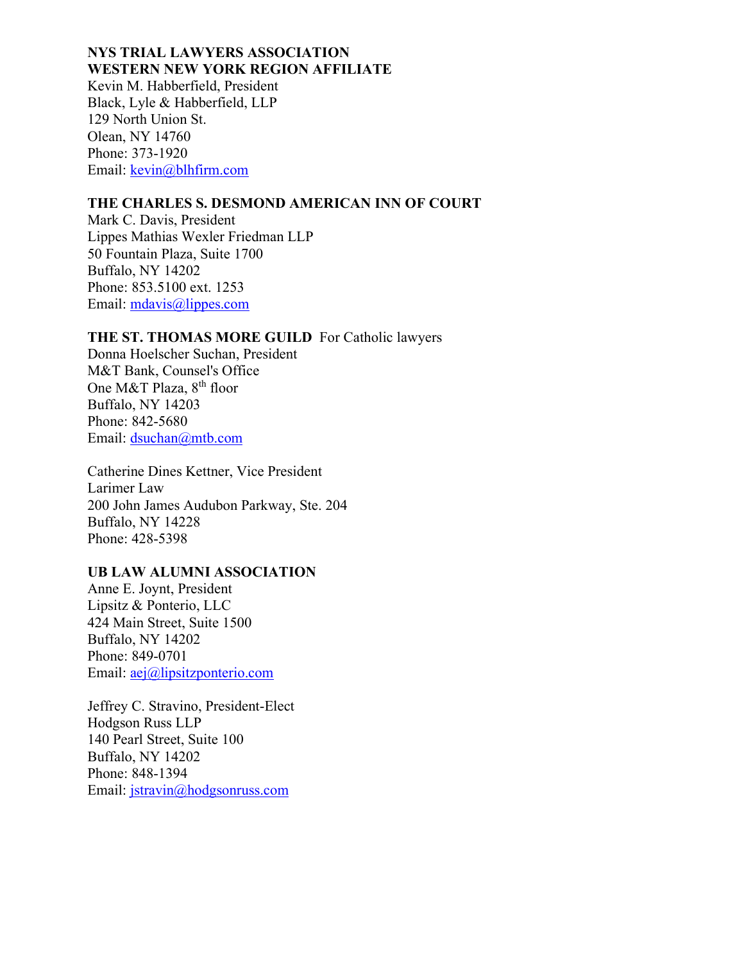## **NYS TRIAL LAWYERS ASSOCIATION WESTERN NEW YORK REGION AFFILIATE**

Kevin M. Habberfield, President Black, Lyle & Habberfield, LLP 129 North Union St. Olean, NY 14760 Phone: 373-1920 Email: [kevin@blhfirm.com](mailto:kevin@blhfirm.com)

## **THE CHARLES S. DESMOND AMERICAN INN OF COURT**

Mark C. Davis, President Lippes Mathias Wexler Friedman LLP 50 Fountain Plaza, Suite 1700 Buffalo, NY 14202 Phone: 853.5100 ext. 1253 Email: [mdavis@lippes.com](mailto:mdavis@lippes.com)

# **THE ST. THOMAS MORE GUILD** For Catholic lawyers

Donna Hoelscher Suchan, President M&T Bank, Counsel's Office One M&T Plaza, 8<sup>th</sup> floor Buffalo, NY 14203 Phone: 842-5680 Email: [dsuchan@mtb.com](mailto:dsuchan@mtb.com)

Catherine Dines Kettner, Vice President Larimer Law 200 John James Audubon Parkway, Ste. 204 Buffalo, NY 14228 Phone: 428-5398

# **UB LAW ALUMNI ASSOCIATION**

Anne E. Joynt, President Lipsitz & Ponterio, LLC 424 Main Street, Suite 1500 Buffalo, NY 14202 Phone: 849-0701 Email: [aej@lipsitzponterio.com](mailto:aej@lipsitzponterio.com)

Jeffrey C. Stravino, President-Elect Hodgson Russ LLP 140 Pearl Street, Suite 100 Buffalo, NY 14202 Phone: 848-1394 Email: [jstravin@hodgsonruss.com](mailto:jstravin@hodgsonruss.com)